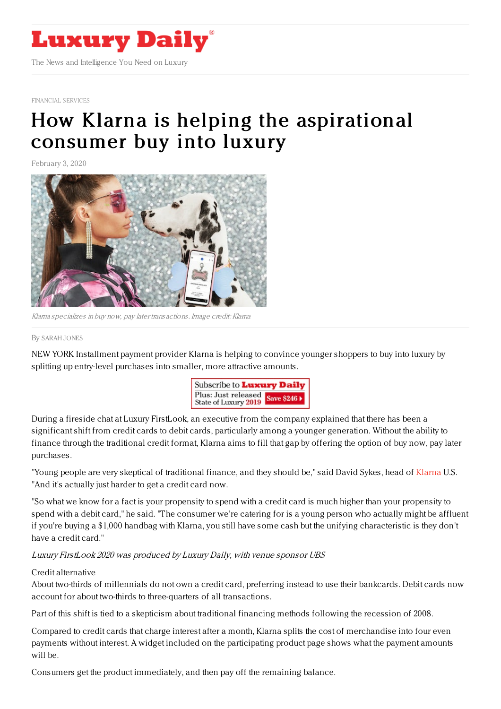

[FINANCIAL](https://www.luxurydaily.com/category/sectors/financial-services/) SERVICES

# How Klarna is helping the [aspirational](https://www.luxurydaily.com/how-klarna-is-helping-the-aspirational-consumer-buy-into-luxury/) consumer buy into luxury

February 3, 2020



Klarna specializes in buy now, pay later transactions. Image credit: Klarna

#### By [SARAH](file:///author/sarah-jones) JONES

NEW YORK Installment payment provider Klarna is helping to convince younger shoppers to buy into luxury by splitting up entry-level purchases into smaller, more attractive amounts.



During a fireside chat at Luxury FirstLook, an executive from the company explained that there has been a significant shift from credit cards to debit cards, particularly among a younger generation. Without the ability to finance through the traditional credit format, Klarna aims to fill that gap by offering the option of buy now, pay later purchases.

"Young people are very skeptical of traditional finance, and they should be," said David Sykes, head of [Klarna](https://www.klarna.com/us/) U.S. "And it's actually just harder to get a credit card now.

"So what we know for a fact is your propensity to spend with a credit card is much higher than your propensity to spend with a debit card," he said. "The consumer we're catering for is a young person who actually might be affluent if you're buying a \$1,000 handbag with Klarna, you still have some cash but the unifying characteristic is they don't have a credit card."

Luxury FirstLook 2020 was produced by Luxury Daily, with venue sponsor UBS

## Credit alternative

About two-thirds of millennials do not own a credit card, preferring instead to use their bankcards. Debit cards now account for about two-thirds to three-quarters of all transactions.

Part of this shift is tied to a skepticism about traditional financing methods following the recession of 2008.

Compared to credit cards that charge interest after a month, Klarna splits the cost of merchandise into four even payments without interest. A widget included on the participating product page shows what the payment amounts will be.

Consumers get the product immediately, and then pay off the remaining balance.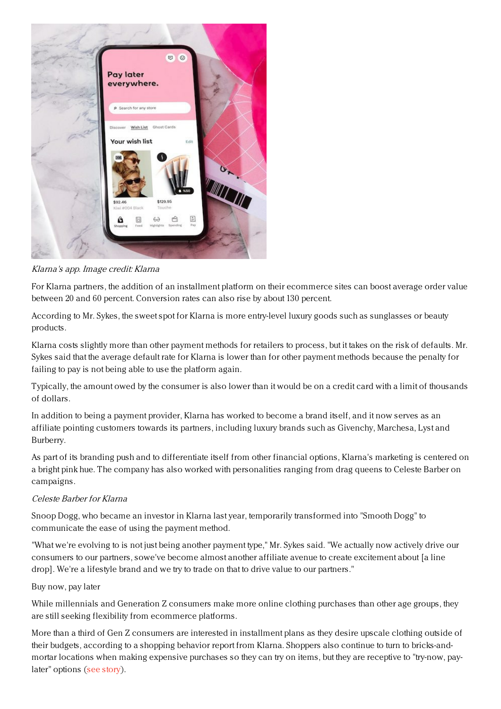

Klarna's app. Image credit: Klarna

For Klarna partners, the addition of an installment platform on their ecommerce sites can boost average order value between 20 and 60 percent. Conversion rates can also rise by about 130 percent.

According to Mr. Sykes, the sweet spot for Klarna is more entry-level luxury goods such as sunglasses or beauty products.

Klarna costs slightly more than other payment methods for retailers to process, but it takes on the risk of defaults. Mr. Sykes said that the average default rate for Klarna is lower than for other payment methods because the penalty for failing to pay is not being able to use the platform again.

Typically, the amount owed by the consumer is also lower than it would be on a credit card with a limit of thousands of dollars.

In addition to being a payment provider, Klarna has worked to become a brand itself, and it now serves as an affiliate pointing customers towards its partners, including luxury brands such as Givenchy, Marchesa, Lyst and Burberry.

As part of its branding push and to differentiate itself from other financial options, Klarna's marketing is centered on a bright pink hue. The company has also worked with personalities ranging from drag queens to Celeste Barber on campaigns.

## Celeste Barber for Klarna

Snoop Dogg, who became an investor in Klarna last year, temporarily transformed into "Smooth Dogg" to communicate the ease of using the payment method.

"What we're evolving to is not just being another payment type," Mr. Sykes said. "We actually now actively drive our consumers to our partners, sowe've become almost another affiliate avenue to create excitement about [a line drop]. We're a lifestyle brand and we try to trade on that to drive value to our partners."

#### Buy now, pay later

While millennials and Generation Z consumers make more online clothing purchases than other age groups, they are still seeking flexibility from ecommerce platforms.

More than a third of Gen Z consumers are interested in installment plans as they desire upscale clothing outside of their budgets, according to a shopping behavior report from Klarna. Shoppers also continue to turn to bricks-andmortar locations when making expensive purchases so they can try on items, but they are receptive to "try-now, paylater" options (see [story](https://www.luxurydaily.com/gen-z-continues-to-favor-personalized-flexible-shopping-experiences/)).